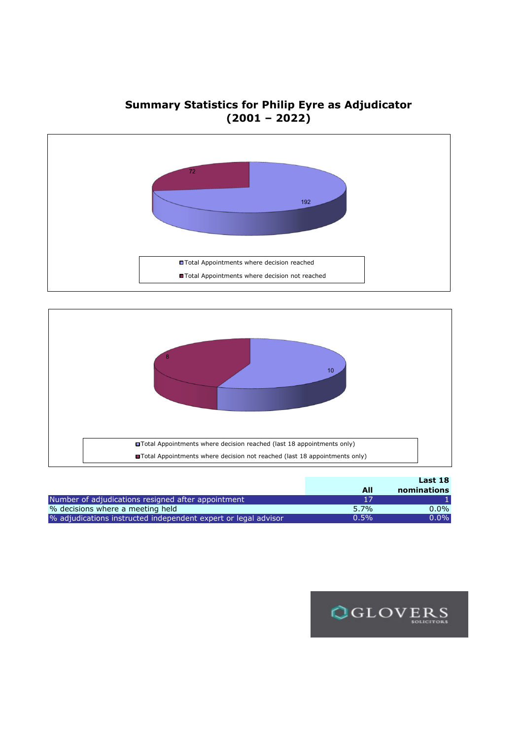**Summary Statistics for Philip Eyre as Adjudicator (2001 – 2022)**





|                                                                |         | Last 18     |
|----------------------------------------------------------------|---------|-------------|
|                                                                | All     | nominations |
| Number of adjudications resigned after appointment             |         |             |
| % decisions where a meeting held                               | $5.7\%$ | $0.0\%$     |
| % adjudications instructed independent expert or legal advisor | $0.5\%$ | $0.0\%$     |

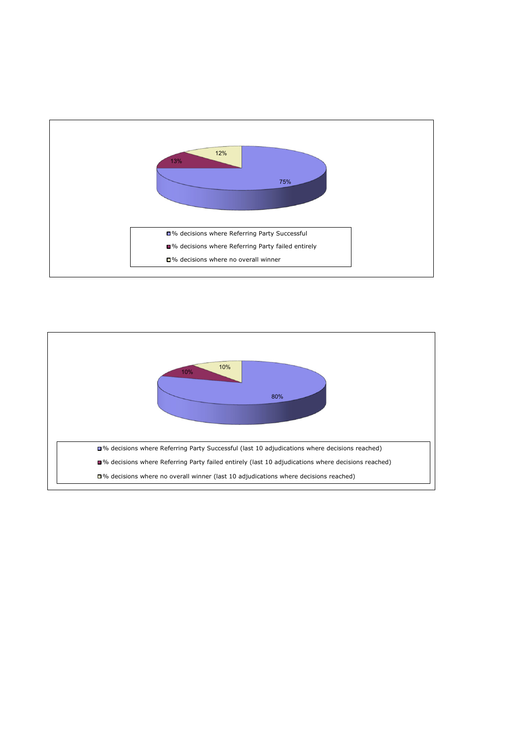

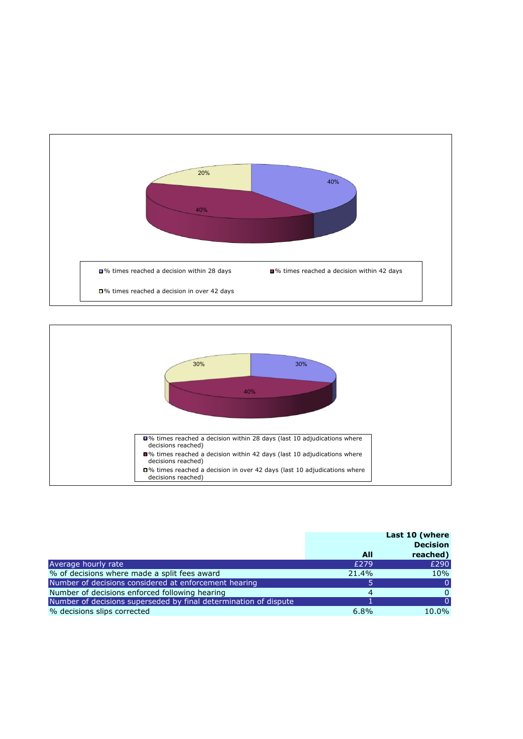



|                                                                  |       | Last 10 (where<br><b>Decision</b> |
|------------------------------------------------------------------|-------|-----------------------------------|
|                                                                  | All   | reached)                          |
| Average hourly rate                                              | £279  | £290                              |
| % of decisions where made a split fees award                     | 21.4% | 10%                               |
| Number of decisions considered at enforcement hearing            |       |                                   |
| Number of decisions enforced following hearing                   | 4     |                                   |
| Number of decisions superseded by final determination of dispute |       |                                   |
| % decisions slips corrected                                      | 6.8%  | 10.0%                             |